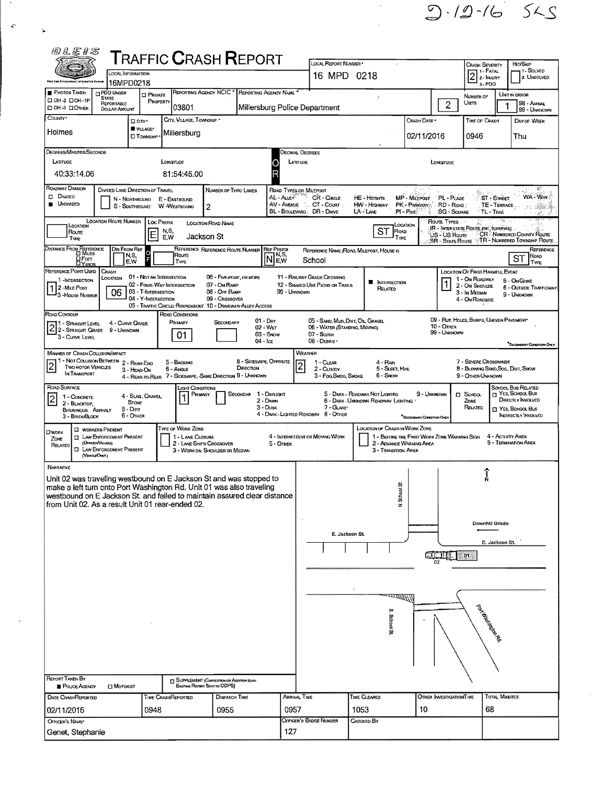$9.19 - 165$ 

| 网络尼耳名                                                                                                                                                                                                                                                                                                                                                                                                       |                                                                                                   |                                            | <b>T</b> RAFFIC <b>C</b> RASH <b>R</b> EPORT                                              |                                                             |                         |                                            |                                                                |                                                 |                                             |                                                           |                                                        |                                        |                                         |  |  |
|-------------------------------------------------------------------------------------------------------------------------------------------------------------------------------------------------------------------------------------------------------------------------------------------------------------------------------------------------------------------------------------------------------------|---------------------------------------------------------------------------------------------------|--------------------------------------------|-------------------------------------------------------------------------------------------|-------------------------------------------------------------|-------------------------|--------------------------------------------|----------------------------------------------------------------|-------------------------------------------------|---------------------------------------------|-----------------------------------------------------------|--------------------------------------------------------|----------------------------------------|-----------------------------------------|--|--|
|                                                                                                                                                                                                                                                                                                                                                                                                             |                                                                                                   | LOCAL INFORMATION                          |                                                                                           |                                                             |                         |                                            | LOCAL REPORT NUMBER .<br>16 MPD 0218                           |                                                 |                                             | Crash Severity<br>11 - Fatal<br>$2$ $\frac{1.444}{2.000}$ |                                                        | Hn/Skip<br>– 1 - Solveo<br>2. UNSOLVED |                                         |  |  |
| Ohio Law Existennest Information Cyntum<br><b>PHOTOS TAKEN</b>                                                                                                                                                                                                                                                                                                                                              | <b>DPDO UNDER</b>                                                                                 | 16MPD0218<br>$\square$ Private             | REPORTING AGENCY NCIC                                                                     |                                                             |                         | <b>REPORTING AGENCY NAME</b>               |                                                                | f,                                              |                                             | 3-PDO<br>NUMBER OF                                        |                                                        |                                        | UNIT IN ERROR                           |  |  |
| □ 0Н-2 □ 0Н-1Р<br>⊡ ОН-З ⊡Отнєв                                                                                                                                                                                                                                                                                                                                                                             | STATE<br>REPORTABLE<br><b>DOLLAR AMOUNT</b>                                                       | PROPERTY                                   | 03801                                                                                     |                                                             |                         |                                            | Millersburg Police Department                                  |                                                 |                                             | $\overline{c}$                                            | UNTS                                                   |                                        | 98 - ANIMAL<br>99 - UNKNOWN             |  |  |
| COUNTY *                                                                                                                                                                                                                                                                                                                                                                                                    |                                                                                                   | □ arv•<br><b>VILLAGE*</b>                  | CITY, VILLAGE, TOWNSHIP *                                                                 |                                                             |                         |                                            |                                                                |                                                 | CRASH DATE *                                |                                                           | TIME OF CRASH                                          |                                        | DAY OF WEEK                             |  |  |
| Holmes                                                                                                                                                                                                                                                                                                                                                                                                      |                                                                                                   | <b>CI TOWNSHIP</b>                         | Millersburg                                                                               |                                                             |                         |                                            |                                                                |                                                 | 02/11/2016                                  |                                                           | 0946                                                   |                                        | Thu                                     |  |  |
| DEGREES/MINUTES/SECONDS<br>Decimal Degrees<br>LATITUDE<br>LONGITUDE<br>LATITUDE<br>0<br>Longrupe                                                                                                                                                                                                                                                                                                            |                                                                                                   |                                            |                                                                                           |                                                             |                         |                                            |                                                                |                                                 |                                             |                                                           |                                                        |                                        |                                         |  |  |
| 40:33:14.06<br>81:54:45.00                                                                                                                                                                                                                                                                                                                                                                                  |                                                                                                   |                                            |                                                                                           |                                                             |                         |                                            |                                                                |                                                 |                                             |                                                           |                                                        |                                        |                                         |  |  |
| <b>ROADWAY DIVISION</b>                                                                                                                                                                                                                                                                                                                                                                                     |                                                                                                   | DIMDED LANE DIRECTION OF TRAVEL            |                                                                                           | NUMBER OF THRU LANES                                        |                         | ROAD TYPES OR MILEPOST                     |                                                                |                                                 |                                             |                                                           |                                                        |                                        | 83                                      |  |  |
| <b>DI DIVIDED</b><br>AL - ALLEY<br>CR - CIRCLE<br>HE - Herarits<br>MP - MILEPOST<br>PL - PLACE<br><b>ST - STREET</b><br>N - Northsound<br>E - EASTBOUND<br><b>UNDIMDED</b><br>AV - AVENUE<br>CT - Court<br>HW - Highway<br>PK - PARKWAYS RD - ROAD<br>TE-TERRACE.<br>S - SouthBound<br><b>W-WESTBOUND</b><br>2<br>BL - BOULEVARD<br>DR - Dave<br>LA-LANE<br>SQ - SOUARE<br>PI-Pake<br><b>TL-TRAIL</b><br>r. |                                                                                                   |                                            |                                                                                           |                                                             |                         |                                            |                                                                |                                                 |                                             |                                                           |                                                        | WA - Way<br>$100\%$                    |                                         |  |  |
| <b>LOCATION ROUTE NUMBER</b><br>ROUTE TYPES<br>一部分 しょ<br>LOC PREFIX<br>$\sim 100$<br><b>LOCATION ROAD NAME</b><br>LOCATION<br>LOCATION<br>(R - Interstate Route (Inc. TurnPike)<br>ST<br>Roop<br>N.S.<br>Route<br>E<br><b>CR-NUMBERED COUNTY ROUTE</b><br>US - US Route<br>Jackson St<br>E,W<br>TYPE<br>Түре<br>SR - State Route ATR - NUMBERED TOWNSHIP ROUTE                                              |                                                                                                   |                                            |                                                                                           |                                                             |                         |                                            |                                                                |                                                 |                                             |                                                           |                                                        |                                        |                                         |  |  |
| DISTANCE FROM REFERENCE<br><b>H</b> FEET                                                                                                                                                                                                                                                                                                                                                                    | DIR FROM REF                                                                                      | $\circ$<br>N,S,<br>E.W                     | Route<br>TYPE                                                                             | REFERENCE REFERENCE ROUTE NUMBER                            |                         | <b>REF PREFIX</b><br>7 N,S,<br>lN<br>l E.W | School                                                         | REFERENCE NAME (ROAD, MILEPOST, HOUSE #)        |                                             |                                                           |                                                        |                                        | REFERENCE<br>ROAD<br><b>ST</b><br>TYPE  |  |  |
| REFERENCE POINT USED<br>1 INTERSECTION                                                                                                                                                                                                                                                                                                                                                                      | CRASH<br>Location                                                                                 | 01 - NOT AN INTERSECTION                   |                                                                                           | 06 - FIVE-POINT, OR MORE                                    |                         |                                            | <b>11 - RAILWAY GRADE CROSSING</b>                             | <b>N</b> INTERSECTION                           |                                             |                                                           | LOCATION OF FIRST HARMFUL EVENT<br>1 - On ROADWAY      |                                        | 5 - ON GORE                             |  |  |
| 2-MILE POST<br>3-House Number                                                                                                                                                                                                                                                                                                                                                                               | 06                                                                                                | 03 - T-INTERSECTION<br>04 - Y-INTERSECTION | 02 - FOUR-WAY INTERSECTION                                                                | 07 - On RAMP<br>08 - Off Ramp<br>09 - Crossover             |                         | 99 - Unknown                               | 12 - SHARED-USE PATHS OR TRAILS                                | RELATED                                         |                                             |                                                           | 2 - ON SHOULDE<br>3 - In Median<br>4 - On ROADSIDE     |                                        | 6 - OUTSIDE TRAFFICWAY<br>9 - Unaskown  |  |  |
| ROAD CONTOUR                                                                                                                                                                                                                                                                                                                                                                                                |                                                                                                   |                                            | 05 - TRAFFIC CIRCLE/ ROUNDABOUT 10 - DRIVEWAY/ ALLEY ACCESS<br>ROAD CONDITIONS<br>PRIMARY |                                                             |                         | $01 - Draw$                                | 05 - SAND, MUD, DRT, OIL, GRAVEL                               |                                                 |                                             |                                                           | 09 - RUT, HOLES, BUMPS, UNEVEN PAVEMENT*               |                                        |                                         |  |  |
| 11 - Straight Level<br>2 2- STRAIGHT LEVEL 4 - CURVE CAR<br>2 2 - STRAIGHT GRADE 9 - UNKNOWN<br>3 - CURVE LEVEL                                                                                                                                                                                                                                                                                             |                                                                                                   | 4 - CURVE GRADE                            | 01                                                                                        | SECONDARY                                                   | $04 - i c \epsilon$     | 02 - Wer<br>03 - Snow                      | 06 - WATER (STANDING, MOVING)<br>$07 -$ SLUSH<br>08 - DEBAIS · |                                                 |                                             | 10 - Other<br>99 - UNKNOWN                                |                                                        |                                        | "Secondrier Containon Only              |  |  |
| <b>MANINER OF CRASH COLLISION/IMPACT</b><br>1 - Not Collision Between 2 - Rear-End                                                                                                                                                                                                                                                                                                                          |                                                                                                   |                                            | 5 - BACKING                                                                               |                                                             | 8 - Sideswipe, Opposite |                                            | WEATHER<br>1 - CLEAR                                           | 4 - RAIN                                        |                                             |                                                           | 7 - Sevene Crosswinds                                  |                                        |                                         |  |  |
| $\overline{2}$<br><b>TWO MOTOR VEHICLES</b><br>IN TRANSPORT                                                                                                                                                                                                                                                                                                                                                 |                                                                                                   | 3 - HEAD-ON                                | 6 - Angle<br>4 - REAR-TO-REAR 7 - SIDESWIPE, -SAME DIRECTION 9 - UNKNOWN                  |                                                             | DIRECTION               |                                            | $\overline{c}$<br>2 - CLOUDY<br>3 - Fog, Smog, Smoke           | 5 - Sleet, Hall<br>6 - Snow                     |                                             |                                                           | 8 - BLOWING SAND, SOL, DIRT, SNOW<br>9 - OTHER/UNKNOWN |                                        |                                         |  |  |
| ROAD SURFACE<br>1 - CONCRETE                                                                                                                                                                                                                                                                                                                                                                                |                                                                                                   | 4 - SLAG, GRAVEL                           | LIGHT CONDITIONS<br>Primary                                                               |                                                             | SECONDAR 1 - DAYLIGHT   |                                            |                                                                | 5 - DARK - ROADWAY NOT LIGHTED                  | 9 - Unknown                                 |                                                           | $\square$ SCHOOL                                       |                                        | SCHOOL BUS RELATED<br>г Yes, School Bus |  |  |
| $\overline{2}$<br>2 - BLACKTOP.<br>BITUMINOUS, ASPHALT                                                                                                                                                                                                                                                                                                                                                      |                                                                                                   | <b>STONE</b><br>$5 -$ Dirt                 |                                                                                           |                                                             |                         | $2 -$ Dawn<br>$3 -$ Dusk                   | 7 - GLARE<br>4 - DARK - LIGHTED ROADWAY 8 - OTHER              | 6 - DARK - UMANOWN ROADWAY LIGHTING             |                                             |                                                           | ZONE<br>RELATED                                        |                                        | DIRECTLY INVOLVED<br>T YES, SCHOOL BUS  |  |  |
| 3 - BRICK/BLOCK                                                                                                                                                                                                                                                                                                                                                                                             | <b>CI WORKERS PRESENT</b>                                                                         | 6 - OTHER                                  | TYPE OF WORK ZONE                                                                         |                                                             |                         |                                            |                                                                | LOCATION OF CRASH IN WORK ZONE                  | SECONDARY CONDITION ONLY                    |                                                           |                                                        |                                        | INDIRECTLY INVOLVED                     |  |  |
| <b>CIWORK</b><br>ZONE<br>RELATED<br>о                                                                                                                                                                                                                                                                                                                                                                       | <b>TI LAW ENFORCEMENT PRESENT</b><br>(OFFICER VEHICLE)<br>LAW ENFORCEMENT PRESENT<br>(VEHOLEOHLY) |                                            | 1 - LANE CLOSURE                                                                          | 2 - LANE SHIFT/ CROSSOVER<br>3 - WORK ON SHOULDER OR MEDIAN |                         | 5 - OTHER                                  | 4 - INTERMITTENT OR MOVING WORK                                | 2 - ADVANCE WARNING AREA<br>3 - TRANSITION AREA | 1 - BEFORE THE FIRST WORK ZONE WARNING SIGN |                                                           |                                                        | 4 - ACTIVITY AREA                      | 5 - TERMINATION AREA                    |  |  |
| <b>NARRATIVE</b>                                                                                                                                                                                                                                                                                                                                                                                            |                                                                                                   |                                            |                                                                                           |                                                             |                         |                                            |                                                                |                                                 |                                             |                                                           |                                                        |                                        |                                         |  |  |
| Unit 02 was traveling westbound on E Jackson St and was stopped to<br>make a left turn onto Port Washington Rd. Unit 01 was also traveling<br>westbound on E Jackson St. and failed to maintain assured clear distance                                                                                                                                                                                      |                                                                                                   |                                            |                                                                                           |                                                             |                         |                                            |                                                                | ъ                                               |                                             |                                                           |                                                        |                                        |                                         |  |  |
| from Unit 02. As a result Unit 01 rear-ended 02.                                                                                                                                                                                                                                                                                                                                                            |                                                                                                   |                                            |                                                                                           |                                                             |                         |                                            |                                                                | N School                                        |                                             |                                                           |                                                        |                                        |                                         |  |  |
|                                                                                                                                                                                                                                                                                                                                                                                                             |                                                                                                   |                                            |                                                                                           |                                                             |                         |                                            |                                                                |                                                 |                                             |                                                           | Downhill Grade                                         |                                        |                                         |  |  |
|                                                                                                                                                                                                                                                                                                                                                                                                             |                                                                                                   |                                            |                                                                                           |                                                             |                         |                                            | E. Jackson St.<br>E. Jackson St.                               |                                                 |                                             |                                                           |                                                        |                                        |                                         |  |  |
|                                                                                                                                                                                                                                                                                                                                                                                                             |                                                                                                   |                                            |                                                                                           |                                                             |                         |                                            |                                                                |                                                 |                                             | ा जाता                                                    | 01                                                     |                                        |                                         |  |  |
|                                                                                                                                                                                                                                                                                                                                                                                                             |                                                                                                   |                                            |                                                                                           |                                                             |                         |                                            |                                                                |                                                 |                                             |                                                           |                                                        |                                        |                                         |  |  |
|                                                                                                                                                                                                                                                                                                                                                                                                             |                                                                                                   |                                            |                                                                                           |                                                             |                         |                                            |                                                                |                                                 |                                             |                                                           |                                                        |                                        |                                         |  |  |
|                                                                                                                                                                                                                                                                                                                                                                                                             |                                                                                                   |                                            |                                                                                           |                                                             |                         |                                            |                                                                | i <u>M</u> itar                                 |                                             |                                                           |                                                        |                                        |                                         |  |  |
|                                                                                                                                                                                                                                                                                                                                                                                                             |                                                                                                   |                                            |                                                                                           |                                                             |                         |                                            |                                                                | S. School St.                                   |                                             |                                                           |                                                        |                                        |                                         |  |  |
|                                                                                                                                                                                                                                                                                                                                                                                                             |                                                                                                   |                                            |                                                                                           |                                                             |                         |                                            |                                                                |                                                 |                                             |                                                           | Podration Manufacture                                  |                                        |                                         |  |  |
|                                                                                                                                                                                                                                                                                                                                                                                                             |                                                                                                   |                                            |                                                                                           |                                                             |                         |                                            |                                                                |                                                 |                                             |                                                           |                                                        |                                        |                                         |  |  |
| <b>REPORT TAKEN BY</b><br><b>F</b> POUCE AGENCY                                                                                                                                                                                                                                                                                                                                                             | <b>CI MOTORIST</b>                                                                                |                                            | <b>IN SUPPLEMENT (CORRECTION OF ACOTTOM TO AN</b>                                         | <b>Existeng Report Sent to ODPS)</b>                        |                         |                                            |                                                                |                                                 |                                             |                                                           |                                                        |                                        |                                         |  |  |
| DATE CRASHREPORTED                                                                                                                                                                                                                                                                                                                                                                                          |                                                                                                   |                                            | TIME CRASHREPORTED                                                                        | <b>DISPATCH TIME</b>                                        |                         | <b>ARRIVAL TIME</b>                        |                                                                | TIME CLEARED                                    |                                             | OTHER INVESTIGATIONT IME                                  |                                                        | <b>TOTAL MINUTES</b>                   |                                         |  |  |
| 02/11/2016                                                                                                                                                                                                                                                                                                                                                                                                  |                                                                                                   | 0948                                       |                                                                                           | 0955                                                        |                         | 0957                                       |                                                                | 1053                                            | 10                                          |                                                           |                                                        | 68                                     |                                         |  |  |
| OFFICER'S NAME*<br>Genet, Stephanie                                                                                                                                                                                                                                                                                                                                                                         |                                                                                                   |                                            |                                                                                           |                                                             |                         | 127                                        | OFFICER'S BADGE NUMBER                                         | CHECKED BY                                      |                                             |                                                           |                                                        |                                        |                                         |  |  |
|                                                                                                                                                                                                                                                                                                                                                                                                             |                                                                                                   |                                            |                                                                                           |                                                             |                         |                                            |                                                                |                                                 |                                             |                                                           |                                                        |                                        |                                         |  |  |

 $\mathcal{S}_\mathrm{c}$ 

 $\mathcal{L}^{\mathcal{L}}$ 

 $\ddot{\phantom{a}}$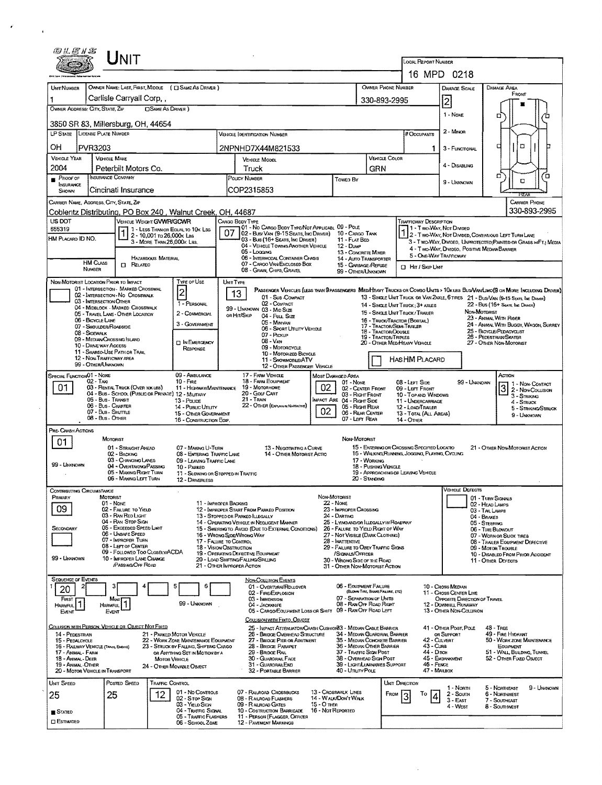| @LE1S                                                                                                                                     | NIT                                                                       |                                                         |                                                            |                                                                                                                                |                                                                                                           |             |                                                                             |                                                                    |                                                           |                                                                         |                                                                                                                            |  |  |  |
|-------------------------------------------------------------------------------------------------------------------------------------------|---------------------------------------------------------------------------|---------------------------------------------------------|------------------------------------------------------------|--------------------------------------------------------------------------------------------------------------------------------|-----------------------------------------------------------------------------------------------------------|-------------|-----------------------------------------------------------------------------|--------------------------------------------------------------------|-----------------------------------------------------------|-------------------------------------------------------------------------|----------------------------------------------------------------------------------------------------------------------------|--|--|--|
|                                                                                                                                           |                                                                           |                                                         | <b>LOCAL REPORT NUMBER</b>                                 |                                                                                                                                |                                                                                                           |             |                                                                             |                                                                    |                                                           |                                                                         |                                                                                                                            |  |  |  |
|                                                                                                                                           |                                                                           |                                                         |                                                            |                                                                                                                                |                                                                                                           |             |                                                                             |                                                                    |                                                           | 16 MPD 0218                                                             |                                                                                                                            |  |  |  |
| <b>UNIT NUMBER</b>                                                                                                                        |                                                                           |                                                         | OWNER NAME: LAST, FIRST, MIDDLE ( C SAME AS DRIVER )       |                                                                                                                                |                                                                                                           |             |                                                                             | OWNER PHONE NUMBER                                                 |                                                           | DAMAGE SCALE                                                            | DAMAGE AREA<br>FRONT                                                                                                       |  |  |  |
|                                                                                                                                           | Carlisle Carryall Corp,                                                   |                                                         |                                                            |                                                                                                                                | 330-893-2995                                                                                              |             |                                                                             |                                                                    |                                                           | 2                                                                       |                                                                                                                            |  |  |  |
| OWNER ADDRESS: CITY, STATE, ZIP                                                                                                           |                                                                           | <b>CISAME AS DRIVER</b> )                               |                                                            |                                                                                                                                |                                                                                                           |             |                                                                             |                                                                    |                                                           | 1 - Nove                                                                | o                                                                                                                          |  |  |  |
|                                                                                                                                           | 3850 SR 83, Millersburg, OH, 44654                                        |                                                         |                                                            |                                                                                                                                |                                                                                                           |             |                                                                             |                                                                    |                                                           |                                                                         |                                                                                                                            |  |  |  |
|                                                                                                                                           | LP STATE LICENSE PLATE NUMBER                                             |                                                         |                                                            | VEHICLE DENTIFICATION NUMBER                                                                                                   |                                                                                                           |             |                                                                             |                                                                    | # Occupants                                               | 2 - Minon                                                               |                                                                                                                            |  |  |  |
| OН                                                                                                                                        | <b>PVR3203</b>                                                            |                                                         |                                                            |                                                                                                                                | 2NPNHD7X44M821533                                                                                         |             |                                                                             |                                                                    |                                                           | 1<br>3 - FUNCTIONAL                                                     | O<br>d                                                                                                                     |  |  |  |
| VEHICLE YEAR                                                                                                                              | <b>VEHICLE MAKE</b>                                                       |                                                         |                                                            |                                                                                                                                | <b>VEHICLE MODEL</b>                                                                                      |             |                                                                             | <b>VEHICLE COLOR</b>                                               |                                                           |                                                                         |                                                                                                                            |  |  |  |
| 2004                                                                                                                                      | Peterbilt Motors Co.                                                      |                                                         |                                                            |                                                                                                                                | Truck                                                                                                     |             |                                                                             | GRN                                                                |                                                           | 4 - DISABLING                                                           |                                                                                                                            |  |  |  |
| $P_{\text{ROOF OF}}$<br>INSURANCE                                                                                                         | INSURANCE COMPANY                                                         |                                                         |                                                            | POUCY NUMBER                                                                                                                   |                                                                                                           |             | Towen By                                                                    |                                                                    |                                                           | 9 - Unknown                                                             | σ<br>้อ<br>O                                                                                                               |  |  |  |
| SHOWN                                                                                                                                     | Cincinati Insurance                                                       |                                                         |                                                            | COP2315853                                                                                                                     |                                                                                                           |             |                                                                             |                                                                    |                                                           |                                                                         |                                                                                                                            |  |  |  |
|                                                                                                                                           | CARRIER NAME, ADDRESS, CITY, STATE, ZIP                                   |                                                         |                                                            |                                                                                                                                |                                                                                                           |             |                                                                             |                                                                    |                                                           |                                                                         | <b>CARRIER PHONE</b><br>330-893-2995                                                                                       |  |  |  |
| US DOT                                                                                                                                    |                                                                           | VEHICLE WEIGHT GVWR/GCWR                                | Coblentz Distributing, PO Box 240, Walnut Creek, OH, 44687 | CARGO BODY TYPE                                                                                                                |                                                                                                           |             |                                                                             |                                                                    | <b>TRAFFICWAY DESCRIPTION</b>                             |                                                                         |                                                                                                                            |  |  |  |
| 655319                                                                                                                                    |                                                                           |                                                         | 1 - LESS THAN OR EQUAL TO 10K LBS                          | 07                                                                                                                             | 01 - No CARGO BODY TYPE/NOT APPLICABL 09 - POLE<br>02 - Busi Van (9-15 Seats, Inc Driver) 10 - Cargo Tank |             |                                                                             |                                                                    |                                                           | 1 - Two-Way, Not Divideo                                                |                                                                                                                            |  |  |  |
| HM PLACARD ID NO.                                                                                                                         |                                                                           | 2 - 10,001 to 26,000x Les<br>3 - MORE THAN 26,000K LBS. |                                                            |                                                                                                                                | 03 - Bus (16+ Seats, Inc DRIVER)                                                                          |             | 11 - FLAT BED<br>12 - Dump                                                  |                                                                    |                                                           |                                                                         | 2 - Two-Way, Not Divideo, Continuous Left Turn Lane<br>3 - Two-Way, Divideo, Unprotecteo (Painteo or Grass >4FT.) Media    |  |  |  |
|                                                                                                                                           |                                                                           |                                                         |                                                            | 04 - VEHICLE TOWING ANOTHER VEHICLE<br>05 - Logging                                                                            |                                                                                                           |             |                                                                             | 13 - CONCRETE MIXER                                                |                                                           | 4 - Two-Way, Divideo, Positive Median Barrier<br>5 - ONE-WAY TRAFFICWAY |                                                                                                                            |  |  |  |
|                                                                                                                                           | <b>HM CLASS</b><br>NUMBER                                                 | <b>HAZARDOUS MATERIAL</b><br><b>ITI</b> RELATED         |                                                            | 06 - INTERMODAL CONTAINER CHASIS<br>07 - CARGO VAN ENCLOSED BOX<br>08 - GRAIN, CHIPS, GRAVEL                                   |                                                                                                           |             |                                                                             | 14 - AUTO TRANSPORTER<br>15 - GARBAGE /REFUSE                      |                                                           | <b>D</b> HIT / SKIP UNIT                                                |                                                                                                                            |  |  |  |
|                                                                                                                                           | NON-MOTORIST LOCATION PRIOR TO IMPACT                                     |                                                         | Type or Use                                                |                                                                                                                                |                                                                                                           |             | 99 - OTHER/UNKNOWN                                                          |                                                                    |                                                           |                                                                         |                                                                                                                            |  |  |  |
|                                                                                                                                           | 01 - INTERSECTION - MARKED CROSSWAL                                       |                                                         |                                                            | UNIT TYPE                                                                                                                      |                                                                                                           |             |                                                                             |                                                                    |                                                           |                                                                         | PASSENGER VEHICLES (LESS THAN PRASSENGERS MEDIHEAVY TRUCKS OR COMBO UNITS > 10K US BUS/VANLIMO(9 OR MORE INCLUDING DRIVER) |  |  |  |
|                                                                                                                                           | 02 - INTERSECTION - NO CROSSWALK<br>03 - INTERSECTION OTHER               |                                                         | $\vert$ 2<br>1 - PERSONAL                                  | 13                                                                                                                             | 01 - Sub-COMPACT<br>02 - COMPACT                                                                          |             |                                                                             |                                                                    |                                                           |                                                                         | 13 - SINGLE UNIT TRUCK OR VAN ZAXLE, 6 TIRES 21 - BUS/VAN (9-15 SEATS, INC DANER)<br>22 - Bus (16+ Seats, Iac Draven)      |  |  |  |
|                                                                                                                                           | 04 - MIDBLOCK - MARKED CROSSWALK<br>05 - TRAVEL LANE - OTHER LOCATION     |                                                         | 2 - COMMERCIAL                                             |                                                                                                                                | 99 - UNKNOWN 03 - MID SIZE<br>OR HIT/SKIP<br>04 - Fut Size                                                |             |                                                                             | 14 - SINGLE UNIT TRUCK: 3+ AXLES<br>15 - SINGLE UNIT TRUCK/TRAILER |                                                           |                                                                         | NON-MOTORIST                                                                                                               |  |  |  |
|                                                                                                                                           | 06 - BICYCLE LANE<br>07 - SHOULDER/ROADSIDE                               |                                                         | 3 - GOVERNMENT                                             | 05 - Minivan                                                                                                                   |                                                                                                           |             |                                                                             | 16 - TRUCK/TRACTOR (BOBTAIL)<br>17 - TRACTOR/SEMI-TRAILER          |                                                           | 23 - AMMAL WITH RIDER<br>24 - ANIMAL WITH BUGGY, WAGON, SURREY          |                                                                                                                            |  |  |  |
|                                                                                                                                           | 08 - SIDEWALK<br>09 - MEDIAN/CROSSING ISLAND                              |                                                         |                                                            | 06 - SPORT UTILITY VEHICLE<br>07 - PICKUP<br>$08 - V_{AN}$<br><b>DIN EMERGENCY</b>                                             |                                                                                                           |             |                                                                             |                                                                    | <b>18 - TRACTOR/DOUBLE</b><br><b>19 - TRACTOR/TRIPLES</b> |                                                                         | 25 - BICYCLE/PEDACYCLIST<br>26 - PEDESTRIAN SKATER                                                                         |  |  |  |
|                                                                                                                                           | 10 - DRIVE WAY ACCESS<br>11 - SHAREO-USE PATH OR TRAIL                    |                                                         | 09 - MOTORCYCLE<br>10 - MOTORIZED BICYCLE                  |                                                                                                                                |                                                                                                           |             |                                                                             | 20 - OTHER MEDIHEAVY VEHICLE                                       |                                                           | 27 - OTHER NON-MOTORIST                                                 |                                                                                                                            |  |  |  |
|                                                                                                                                           | 12 - NON-TRAFFICWAY AREA<br>99 - OTHER/UNKNOWN                            | 11 - SNOWMOBLE/ATV<br>12 - OTHER PASSENGER VEHICLE      |                                                            |                                                                                                                                |                                                                                                           |             |                                                                             | HASHM PLACARD                                                      |                                                           |                                                                         |                                                                                                                            |  |  |  |
| SPECIAL FUNCTION 01 - NONE                                                                                                                |                                                                           |                                                         | 09 - AMBULANCE                                             |                                                                                                                                | 17 - FARM VEHICLE                                                                                         |             | <b>MOST DAMAGED AREA</b>                                                    |                                                                    |                                                           |                                                                         | ACTION                                                                                                                     |  |  |  |
| 02 - Taxi<br>01.<br>03 - RENTAL TRUCK (OVER 10K LBS)                                                                                      |                                                                           |                                                         | $10 -$ FiRE                                                | 18 - FARM EQUIPMENT<br>01 - None<br>02<br>11 - HIGHWAY/MAINTENANCE<br>19 - Мотовноме<br>02 - CENTER FRONT                      |                                                                                                           |             |                                                                             |                                                                    | 08 - LEFT SIDE                                            | 99 - UNKNOWN<br>09 - LEFT FRONT                                         |                                                                                                                            |  |  |  |
|                                                                                                                                           | 04 - Bus - School (Public or Private) 12 - Military<br>05 - Bus - Transit |                                                         |                                                            |                                                                                                                                | 20 - Golf Cart<br>$21 -$ Train                                                                            |             | 03 - RIGHT FRONT                                                            |                                                                    | 10 - TOP AND WINDOWS                                      |                                                                         | $32 - \frac{1 - \text{Now-}}{2}$<br>3 - STRIKING                                                                           |  |  |  |
| 13 - Pouce<br>06 - Bus - Charter<br>14 - Posuc Unury<br>07 - Bus - Shuttle<br>15 - OTHER GOVERNMENT                                       |                                                                           |                                                         |                                                            | IMPACT ARE 04 - RIGHT SIDE<br>22 - OTHER (EXPLAN IN NATIONATIVE)<br>05 - Right Rear<br>02<br>06 - REAR CENTER                  |                                                                                                           |             |                                                                             | 12 - LOAD/TRAILER                                                  | 11 - UNDERCARRIAGE<br>4 - Struck<br>5 - STRIKING/STRUCK   |                                                                         |                                                                                                                            |  |  |  |
|                                                                                                                                           | 08 - Bus - OTHER                                                          | 16 - CONSTRUCTION EOIP.                                 | 07 - LEFT REAR                                             |                                                                                                                                |                                                                                                           |             | 13 - TOTAL (ALL AREAS)<br><b>14 - OTHER</b>                                 |                                                                    | 9 - Unknown                                               |                                                                         |                                                                                                                            |  |  |  |
| PRE-CRASH ACTIONS                                                                                                                         |                                                                           |                                                         |                                                            |                                                                                                                                |                                                                                                           |             |                                                                             |                                                                    |                                                           |                                                                         |                                                                                                                            |  |  |  |
| 01.                                                                                                                                       | MOTORIST                                                                  | 01 - STRAIGHT AHEAD                                     | 07 - MAKING U-TURN                                         |                                                                                                                                | 13 - Negotiating a Curve                                                                                  |             | NON-MOTORIST                                                                |                                                                    | 15 - ENTERING OR CROSSING SPECIFIED LOCATIO               |                                                                         | 21 - OTHER NON-MOTORIST ACTION                                                                                             |  |  |  |
|                                                                                                                                           | 02 - BACKING                                                              | 03 - CHANGING LANES                                     | 08 - ENTERING TRAFFIC LANE<br>09 - LEAVING TRAFFIC LANE    | 14 - OTHER MOTORIST ACTIO<br>17 - WORKING<br>18 - Pushing Vehicle<br>19 - APPROACHING OR LEAVING VEHICLE                       |                                                                                                           |             |                                                                             |                                                                    |                                                           | 16 - WALKING RUNNING, JOGGING, PLAYING, CYCLING                         |                                                                                                                            |  |  |  |
| 99 - UNKNOWN                                                                                                                              |                                                                           | 04 - OVERTAKING PASSING<br>05 - MAKING RIGHT TURN       | 10 - PARKED                                                |                                                                                                                                |                                                                                                           |             |                                                                             |                                                                    |                                                           |                                                                         |                                                                                                                            |  |  |  |
|                                                                                                                                           |                                                                           | 06 - MAKING LEFT TURN                                   | 11 - Slowing or Stopped in Traffic<br>12 - DRIVERLESS      |                                                                                                                                |                                                                                                           |             |                                                                             | 20 - Standing                                                      |                                                           |                                                                         |                                                                                                                            |  |  |  |
| CONTRIBUTING CIRCUMSTANCE                                                                                                                 |                                                                           |                                                         |                                                            |                                                                                                                                |                                                                                                           |             |                                                                             |                                                                    |                                                           | VEHICLE DEFECTS                                                         |                                                                                                                            |  |  |  |
| PRIMARY                                                                                                                                   | MOTORIST<br>01 - None                                                     |                                                         |                                                            | 11 - IMPROPER BACKING                                                                                                          |                                                                                                           |             | NON-MOTORIST<br><b>22 - None</b>                                            |                                                                    |                                                           |                                                                         | 01 - TURN SIGNALS<br>02 - HEAD LAMPS                                                                                       |  |  |  |
| 09                                                                                                                                        | 02 - FAILURE TO YIELD<br>03 - RAN RED LIGHT                               |                                                         |                                                            | 13 - STOPPED OR PARKED ILLEGALLY                                                                                               | 12 - IMPROPER START FROM PARKED POSITION                                                                  |             | 23 - IMPROPER CROSSING<br>24 - DARTING                                      |                                                                    |                                                           |                                                                         | 03 - TAIL LAMPS<br>04 - BRAKES                                                                                             |  |  |  |
| SECONDARY                                                                                                                                 | 04 - RAN STOP SIGN                                                        | 05 - Exceeded Speed Limit                               |                                                            |                                                                                                                                | 14 - OPERATING VEHICLE IN NEGLIGENT MANNER<br>15 - SWERING TO AVOID (DUE TO EXTERNAL CONDITIONS)          |             | 25 - LYING AND/OR ILLEGALLY IN ROADWAY<br>26 - FALURE TO YIELD RIGHT OF WAY |                                                                    |                                                           |                                                                         | 05 - STEERING<br>06 - TIRE BLOWOUT                                                                                         |  |  |  |
|                                                                                                                                           | 06 - UNSAFE SPEED<br>07 IMPROPER TURN                                     |                                                         |                                                            | 16 - WRONG SIDEAVRONG WAY<br>17 - FALURE TO CONTROL                                                                            |                                                                                                           |             | 27 - NOT VISIBLE (DARK CLOTHING)<br>28 - INATTENTIVE                        |                                                                    |                                                           |                                                                         | 07 - WORN OR SUCK TIRES<br>08 - TRAILER EQUIPMENT DEFECTIVE                                                                |  |  |  |
|                                                                                                                                           | 08 - LEFT OF CENTER                                                       | 09 - FOLLOWED TOO CLOSELY/ACDA                          |                                                            | <b>18 - VISION OBSTRUCTION</b><br>29 - FAILURE TO OBEY TRAFFIC SIGNS<br>19 - OPERATING DEFECTIVE EQUIPMENT<br>/SIGNALS/OFFICER |                                                                                                           |             |                                                                             |                                                                    |                                                           |                                                                         | 09 - Motor Trouble<br>10 - DISABLED FROM PRIOR ACCIDENT                                                                    |  |  |  |
| 99 - LINXNOWN                                                                                                                             |                                                                           | 10 - IMPROPER LANE CHANGE<br><b>PASSING OFF ROAD</b>    |                                                            | 20 - LOAD SHIFTING/FALLING/SPILLING<br>21 - OTHER IMPROPER ACTION                                                              |                                                                                                           |             | 30 - WRONG SIDE OF THE ROAD<br>31 - OTHER NON-MOTORIST ACTION               |                                                                    |                                                           |                                                                         | 11 - OTHER DEFECTS                                                                                                         |  |  |  |
| <b>SEQUENCE OF EVENTS</b>                                                                                                                 |                                                                           |                                                         |                                                            |                                                                                                                                | <b>NON-COLLISION EVENTS</b>                                                                               |             |                                                                             |                                                                    |                                                           |                                                                         |                                                                                                                            |  |  |  |
| 20                                                                                                                                        |                                                                           |                                                         | 6                                                          |                                                                                                                                | 01 - OVERTURN/ROLLOVER                                                                                    |             | 06 - EOUIPMENT FALURE                                                       | (BLOWN TIRE, BRAKE FAILURE, ETC)                                   |                                                           | 10 - Cross MEDIAN<br>11 - Cross Center Line                             |                                                                                                                            |  |  |  |
| FIRST                                                                                                                                     |                                                                           |                                                         | 99 - Unknown                                               |                                                                                                                                | 02 - FIRE/EXPLOSION<br>03 - IMMERSION                                                                     |             | 07 - SEPARATION OF UNITS<br>08 - RAN OFF ROAD RIGHT                         |                                                                    |                                                           | OPPOSITE DIRECTION OF TRAVEL<br>12 - DOWNHILL RUNAWAY                   |                                                                                                                            |  |  |  |
| HARMFUL.<br>EVENT                                                                                                                         | HARMFUL<br>Event                                                          |                                                         |                                                            |                                                                                                                                | 04 - Jackstre<br>05 - CARGO/EQUIPMENT LOSS OR SHIFT                                                       |             | 09 - RAN OFF ROAD LEFT                                                      |                                                                    |                                                           | 13 - OTHER NON-COLLISION                                                |                                                                                                                            |  |  |  |
|                                                                                                                                           | COLLISION WITH PERSON, VEHICLE OR OBJECT NOT FIXED                        |                                                         |                                                            |                                                                                                                                | COLLISION WITH FIXED, OBJECT<br>25 - Inpact Attennator/Crash Cushon83 - Median Cable Barrier              |             |                                                                             |                                                                    |                                                           | 41 - OTHER POST, POLE                                                   | $48 - T$ REE                                                                                                               |  |  |  |
| <b>14 - PEDESTRIAN</b>                                                                                                                    |                                                                           |                                                         | 21 - PARKED MOTOR VEHICLE                                  |                                                                                                                                | 26 - BRIDGE OVERHEAD STRUCTURE                                                                            |             | 34 - MEDIAN GUARDRAIL BARRIER<br>35 - MEDIAN CONCRETE BARRIER               |                                                                    |                                                           | OR SUPPORT<br>42 CULVERT                                                | 49 - FIRE HYDRANT<br>50 - WORK ZONE MAINTENANCE                                                                            |  |  |  |
| 15 - PEDALCYCLE<br>22 - WORK ZONE MAINTENANCE EQUIPMENT<br>16 - RAILWAY VEHICLE (TRAIN, ENDINE)<br>23 - STRUCK BY FALLING, SHIFTING CARGO |                                                                           |                                                         |                                                            |                                                                                                                                | 27 - BRIDGE PIER OR ABUTMENT<br>28 - BRIDGE PARAPET                                                       |             | 36 - MEDIAN OTHER BARRIER<br>37 - TRAFFIC SIGN POST                         |                                                                    |                                                           | 43 - Cuna                                                               | EOUIPMENT<br>51 - WALL, BUILDING, TUNNEL                                                                                   |  |  |  |
| 17 - Animal - Farm<br>18 - Animal - Deer                                                                                                  |                                                                           |                                                         | OR ANYTHING SET IN MOTION BY A<br><b>MOTOR VEHICLE</b>     |                                                                                                                                | 29 - BRIDGE FUIL<br>30 - GUARDRAIL FACE                                                                   |             | 38 - OVERHEAD SIGN POST                                                     |                                                                    |                                                           | 44 DITCH<br>45 - EMBANKMENT<br>52 - OTHER FIXED OBJECT                  |                                                                                                                            |  |  |  |
| 19 - Animal - Other                                                                                                                       | 20 - MOTOR VEHICLE IN TRANSPORT                                           |                                                         | 24 - OTHER MOVABLE OBJECT                                  |                                                                                                                                | 31 - GUARDRAILEND<br>32 - PORTABLE BARRIER                                                                |             | 39 - LIGHT/LUMINARIES SUPPORT<br>40 - Unurv PoLE                            |                                                                    |                                                           | 46 - FENCE<br>47 - MALBOX                                               |                                                                                                                            |  |  |  |
| Unit Speed                                                                                                                                | POSTED SPEED                                                              | <b>TRAFFIC CONTROL</b>                                  |                                                            |                                                                                                                                |                                                                                                           |             |                                                                             |                                                                    | UNIT DIRECTION                                            |                                                                         |                                                                                                                            |  |  |  |
| 25                                                                                                                                        | 25                                                                        | 12                                                      | 01 - No CONTROLS<br>02 - Stop Ston                         |                                                                                                                                | 07 - RAILROAD CROSSBUCKS<br>08 - RAILROAD FLASHERS                                                        |             | 13 - Crosswalk Lines<br>14 - WALK/DON'T WALK                                |                                                                    | То<br>FROM                                                | 1 - North<br>$2 -$ South                                                | 5 - NORTHEAST<br>9 - Unignown<br>6 - NORTHWEST                                                                             |  |  |  |
|                                                                                                                                           |                                                                           |                                                         | 03 - YIELD SIGN                                            |                                                                                                                                | 09 - RALROAD GATES<br>10 - COSTRUCTION BARRICADE 16 - NOT REPORTED                                        | 15 - О тнев |                                                                             |                                                                    |                                                           | 3 - East<br>4 - West                                                    | 7 - SOUTHEAST<br>8 - Southwest                                                                                             |  |  |  |
| STATED<br><b>ESTIMATED</b>                                                                                                                |                                                                           |                                                         | 04 - TRAFFIC SIGNAL<br>05 - TRAFFIC FLASHERS               |                                                                                                                                | 11 - PERSON (FLAGGER, OFFICER                                                                             |             |                                                                             |                                                                    |                                                           |                                                                         |                                                                                                                            |  |  |  |
|                                                                                                                                           |                                                                           |                                                         | 06 - SCHOOL ZONE                                           |                                                                                                                                | <b>12 - PAVEMENT MARKINGS</b>                                                                             |             |                                                                             |                                                                    |                                                           |                                                                         |                                                                                                                            |  |  |  |

 $\sim$   $\sim$ 

 $\mathcal{F}^{\text{max}}_{\text{max}}$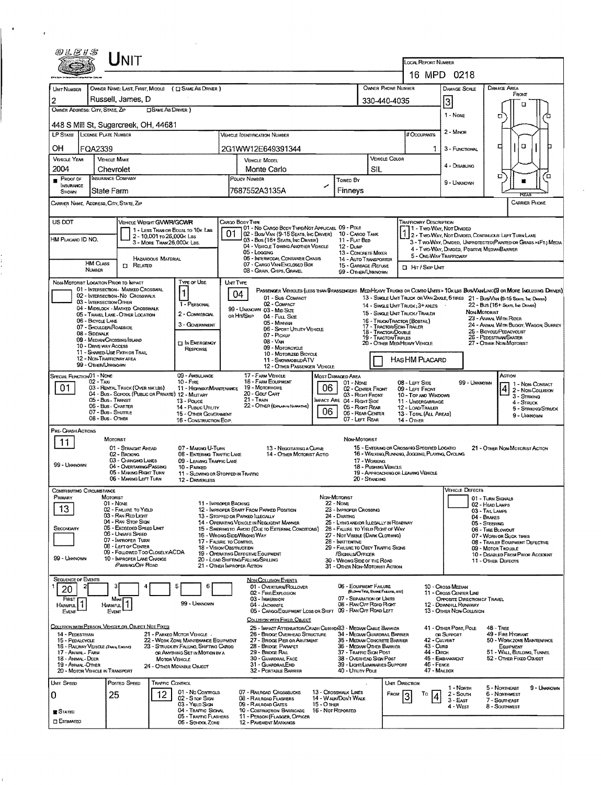|                                                                                                                                                                                                                                                                                                                                                                                                                                                                                                                                               |                                       | UNIT                                                                                                                                                                                                                                                       |                              |                                                                                                                                                                                                        |                  |                                                                                                                                                                                                                                                                                                                                                                                                                                                  |                                                                                                                                                                                                                                                                                                                                        |                                                       |                                                                                                                                                                                                                                                                                                                                      |                                                                                                                                                                                                                            |                                                                                                                                                                                      |                                                                                                                        |  |
|-----------------------------------------------------------------------------------------------------------------------------------------------------------------------------------------------------------------------------------------------------------------------------------------------------------------------------------------------------------------------------------------------------------------------------------------------------------------------------------------------------------------------------------------------|---------------------------------------|------------------------------------------------------------------------------------------------------------------------------------------------------------------------------------------------------------------------------------------------------------|------------------------------|--------------------------------------------------------------------------------------------------------------------------------------------------------------------------------------------------------|------------------|--------------------------------------------------------------------------------------------------------------------------------------------------------------------------------------------------------------------------------------------------------------------------------------------------------------------------------------------------------------------------------------------------------------------------------------------------|----------------------------------------------------------------------------------------------------------------------------------------------------------------------------------------------------------------------------------------------------------------------------------------------------------------------------------------|-------------------------------------------------------|--------------------------------------------------------------------------------------------------------------------------------------------------------------------------------------------------------------------------------------------------------------------------------------------------------------------------------------|----------------------------------------------------------------------------------------------------------------------------------------------------------------------------------------------------------------------------|--------------------------------------------------------------------------------------------------------------------------------------------------------------------------------------|------------------------------------------------------------------------------------------------------------------------|--|
|                                                                                                                                                                                                                                                                                                                                                                                                                                                                                                                                               |                                       |                                                                                                                                                                                                                                                            |                              |                                                                                                                                                                                                        |                  |                                                                                                                                                                                                                                                                                                                                                                                                                                                  |                                                                                                                                                                                                                                                                                                                                        |                                                       | <b>LOCAL REPORT NUMBER</b>                                                                                                                                                                                                                                                                                                           | 16 MPD 0218                                                                                                                                                                                                                |                                                                                                                                                                                      |                                                                                                                        |  |
| UNT NUMBER<br>2<br>OWNER ADDRESS: CITY, STATE, ZIP                                                                                                                                                                                                                                                                                                                                                                                                                                                                                            |                                       | Russell, James, D                                                                                                                                                                                                                                          | <b>OSAME AS DRIVER</b> )     | OWNER NAME: LAST, FIRST, MIDDLE ( [ ] SAME AS DRIVER )                                                                                                                                                 |                  |                                                                                                                                                                                                                                                                                                                                                                                                                                                  |                                                                                                                                                                                                                                                                                                                                        |                                                       | OWNER PHONE NUMBER<br>330-440-4035                                                                                                                                                                                                                                                                                                   | DAMAGE SCALE<br>3                                                                                                                                                                                                          | <b>DAMAGE AREA</b>                                                                                                                                                                   | FRONT<br>п                                                                                                             |  |
| 448 S Mill St, Sugarcreek, OH, 44681                                                                                                                                                                                                                                                                                                                                                                                                                                                                                                          |                                       |                                                                                                                                                                                                                                                            |                              |                                                                                                                                                                                                        |                  |                                                                                                                                                                                                                                                                                                                                                                                                                                                  |                                                                                                                                                                                                                                                                                                                                        |                                                       |                                                                                                                                                                                                                                                                                                                                      | 1 - NONE                                                                                                                                                                                                                   | а                                                                                                                                                                                    |                                                                                                                        |  |
| LP STATE LICENSE PLATE NUMBER                                                                                                                                                                                                                                                                                                                                                                                                                                                                                                                 |                                       |                                                                                                                                                                                                                                                            |                              |                                                                                                                                                                                                        |                  | <b>VEHICLE DENTIFICATION NUMBER</b>                                                                                                                                                                                                                                                                                                                                                                                                              |                                                                                                                                                                                                                                                                                                                                        |                                                       | # Occupants                                                                                                                                                                                                                                                                                                                          | 2 - MINOR                                                                                                                                                                                                                  | □                                                                                                                                                                                    | а                                                                                                                      |  |
| OН<br><b>VEHICLE YEAR</b>                                                                                                                                                                                                                                                                                                                                                                                                                                                                                                                     | FQA2339<br><b>VEHICLE MAKE</b>        |                                                                                                                                                                                                                                                            |                              |                                                                                                                                                                                                        |                  | 2G1WW12E649391344<br>VEHICLE MODEL                                                                                                                                                                                                                                                                                                                                                                                                               |                                                                                                                                                                                                                                                                                                                                        |                                                       | 1<br>VEHICLE COLOR                                                                                                                                                                                                                                                                                                                   | 3 - FUNCTIONAL                                                                                                                                                                                                             |                                                                                                                                                                                      |                                                                                                                        |  |
| 2004<br>PROOF OF                                                                                                                                                                                                                                                                                                                                                                                                                                                                                                                              | Chevrolet<br><b>INSURANCE COMPANY</b> |                                                                                                                                                                                                                                                            |                              |                                                                                                                                                                                                        |                  | Monte Carlo<br>POUCY NUMBER                                                                                                                                                                                                                                                                                                                                                                                                                      |                                                                                                                                                                                                                                                                                                                                        | SIL                                                   |                                                                                                                                                                                                                                                                                                                                      | 4 - Disabung                                                                                                                                                                                                               | □                                                                                                                                                                                    | Έ                                                                                                                      |  |
| ٠<br>INSURANCE<br>SHOWN                                                                                                                                                                                                                                                                                                                                                                                                                                                                                                                       | State Farm                            |                                                                                                                                                                                                                                                            |                              |                                                                                                                                                                                                        |                  | 7687552A3135A                                                                                                                                                                                                                                                                                                                                                                                                                                    | Towed By<br>Finneys                                                                                                                                                                                                                                                                                                                    |                                                       |                                                                                                                                                                                                                                                                                                                                      | 9 - UNKNOWN                                                                                                                                                                                                                |                                                                                                                                                                                      |                                                                                                                        |  |
| CARRIER NAME, ADDRESS, CITY, STATE, ZIP                                                                                                                                                                                                                                                                                                                                                                                                                                                                                                       |                                       |                                                                                                                                                                                                                                                            |                              |                                                                                                                                                                                                        |                  |                                                                                                                                                                                                                                                                                                                                                                                                                                                  |                                                                                                                                                                                                                                                                                                                                        |                                                       |                                                                                                                                                                                                                                                                                                                                      |                                                                                                                                                                                                                            |                                                                                                                                                                                      | <b>CARRIER PHONE</b>                                                                                                   |  |
| US DOT<br>VEHICLE WEIGHT GVWR/GCWR<br>1 - LESS THAN OR EQUAL TO 10K LBS<br>2 - 10,001 to 26,000x Lss<br>HM PLACARD ID NO.<br>3 - MORE THAN 26,000K LBS.<br>HAZARDOUS MATERIAL                                                                                                                                                                                                                                                                                                                                                                 |                                       |                                                                                                                                                                                                                                                            |                              |                                                                                                                                                                                                        | 01               | CARGO BODY TYPE<br>01 - No CARGO BODY TYPE/NOT APPLICABL 09 - POLE<br>02 - Busi Van (9-15 Seats, Inc Driver)<br>03 - Bus (16+ SEATS, INC DRIVER)<br>04 - VEHICLE TOWING ANOTHER VEHICLE<br>05 - Loccing<br>06 - INTERMODAL CONTAINER CHASIS                                                                                                                                                                                                      | <b>TRAFFICWAY DESCRIPTION</b><br>1 - Two-Way, Not Divided<br>1 2 - Two-Way, Not Divided, Continuous Left Turn Lane<br>3 - T WO-WAY, DIVIDED, UNPROTECTED (PAINTED OR GRASS >4FT.) MEDIA<br>4 - TWO-WAY, DIVIDED, POSITIVE MEDIANBARRIER<br>13 - CONCRETE MIXER<br>5 - ONE-WAY TRAFFICWAY<br>14 - AUTO TRANSPORTER                      |                                                       |                                                                                                                                                                                                                                                                                                                                      |                                                                                                                                                                                                                            |                                                                                                                                                                                      |                                                                                                                        |  |
|                                                                                                                                                                                                                                                                                                                                                                                                                                                                                                                                               | <b>HM CLASS</b><br>NUMBER             | $\Box$ Related                                                                                                                                                                                                                                             |                              |                                                                                                                                                                                                        |                  | 07 - CARGO VAN ENCLOSED BOX<br>08 - GRAIN, CHIPS, GRAVEL                                                                                                                                                                                                                                                                                                                                                                                         | 15 - GARBAGE /REFUSE<br>99 - OTHER/UNKNOWN                                                                                                                                                                                                                                                                                             |                                                       | <b>D</b> Hr / Skip Unit                                                                                                                                                                                                                                                                                                              |                                                                                                                                                                                                                            |                                                                                                                                                                                      |                                                                                                                        |  |
| Type or Use<br>NON-MOTORIST LOCATION PRIOR TO IMPACT<br>01 - INTERSECTION MARKED CROSSWAL<br>02 - INTERSECTION - NO CROSSWALK<br>03 - INTERSECTION OTHER<br>1 - PERSONAL<br>04 - MIDBLOCK - MARKED CROSSWALK<br>2 - COMMERCIAL<br>05 - TRAVEL LANE - OTHER LOCATION<br>06 - BICYCLE LANE<br>3 - GOVERNMENT<br>07 - SHOULDER/ROADSIDE<br>08 - Sidewalk<br>09 - MEDIAN CROSSING ISLAND<br><b>IT IN EMERGENCY</b><br>10 - DRIVE WAY ACCESS<br><b>RESPONSE</b><br>11 - SHARED-USE PATH OR TRAIL<br>12 - NON-TRAFFICWAY AREA<br>99 - OTHER/UNKNOWN |                                       |                                                                                                                                                                                                                                                            |                              |                                                                                                                                                                                                        | <b>UNIT TYPE</b> | PASSENGER VERICLES (LESS THAN 9 PASSENGERS MEDIMEAVY TRUCKS OR COMBO UNITS > 10K LBS BUSVAN/LIMO(9 OR MORE INCLUDING DRIVER)<br>04<br>01 - Sub-COMPACT<br>02 - COMPACT<br>99 - UNKNOWN 03 - MID SIZE<br>on Hm/Skip<br>04 - Futt Size<br>05 - MIMWAN<br>06 - SPORT UNUTY VEHICLE<br>07 - Pickup<br>08 - VAN<br>09 - MOTORCYCLE<br>10 - Mororizen Bicycle<br>11 - SNOWMOBILE/ATV<br>12 - OTHER PASSENGER VEHICLE                                   |                                                                                                                                                                                                                                                                                                                                        |                                                       | 13 - SINGLE UNIT TRUCK OR VAN 2AXLE, 6 TIRES 21 - BUS/VAN (9-15 SEATS, INC DRIVER)<br>14 - Single Unit Truck: 3+ AXLES<br>15 - SINGLE UNIT TRUCK/ TRAILER<br>16 - Truck/Tractor (BOBTAIL)<br>17 - TRACTOR/SEMI-TRAILER<br>18 - Tractor/Double<br><b>19 - TRACTOR/TRIPLES</b><br>20 - OTHER MEDIHEAVY VEHICLE<br><b>HASHM PLACARD</b> |                                                                                                                                                                                                                            | NON-MOTORIST<br>23 - Annual With Rider<br>25 - BICYCLE/PEDACYCUST<br>26 - PEDESTRIAN SKATER<br>27 - OTHER NON-MOTORIST                                                               | 22 - Bus (16+ Seats, Inc Driver)<br>24 - ANIMAL WITH BUGGY, WAGON, SURREY                                              |  |
| 09 - AMBULANCE<br>SPECIAL FUNCTION 01 - NONE<br>$02 - Tax$<br>$10 -$ Figs.<br>01<br>03 - RENTAL TRUCK (OVER 10K LBS)<br>11 - HIGHWAY/MAINTENANCE<br>04 - Bus - School (Public or Private) 12 - Military<br>05 - Bus - Transit<br>13 - Pouce<br>06 - Bus - CHARTER<br>14 - PuBuc Ununy<br>07 - Bus - SHUTTLE<br><b>15 - OTHER GOVERNMENT</b><br>08 - Bus - OTHER<br>16 - CONSTRUCTION EDIP.                                                                                                                                                    |                                       |                                                                                                                                                                                                                                                            |                              |                                                                                                                                                                                                        |                  | 17 - FARM VEHICLE<br><b>18 - FARM EQUIPMENT</b><br>06<br>19 - Мотовноме<br>20 - GOLF CART<br>$21 -$ TRAIN<br>22 - OTHER (EXPLANIN NARRATIVE)<br>06                                                                                                                                                                                                                                                                                               | <b>MOST DAMAGED AREA</b><br>01 - None<br>02 - CENTER FRONT<br>03 - Right Front<br>IMPACT ARE 04 - RIGHT SIDE<br>05 - Right Rear<br>06 - REAR CENTER<br>07 - LEFT REAR                                                                                                                                                                  |                                                       | 08 - LEFT SIDE<br>09 - LEFT FRONT<br>10 - TOP AND WINDOWS<br>11 - UNDERCARRIAGE<br>12 - LOAD/TRAILER<br>13 - TOTAL (ALL AREAS)<br><b>14 - OTHER</b>                                                                                                                                                                                  | 99 - Unknown                                                                                                                                                                                                               |                                                                                                                                                                                      | Астом<br>1 - NON-CONTACT<br>2 - Non-Collision<br>3 - Striking<br>4 - Struck<br>5 - STRIKING/STRUCK<br>9 - Unknown      |  |
| PRE-CRASH ACTIONS<br>11.<br>99 - Unknown                                                                                                                                                                                                                                                                                                                                                                                                                                                                                                      | MOTORIST                              | 01 - STRAIGHT AHEAD<br>02 - BACKING<br>03 - CHANGING LANES<br>04 - OVERTAKING PASSING<br>05 - MAKING RIGHT TURN<br>06 - Making Left Turn                                                                                                                   |                              | 07 - MAKING U-TURN<br>08 - ENTERING TRAFFIC LANE<br>09 - LEAVING TRAFFIC LANE<br>10 - PARKED<br>11 - SLOWING OR STOPPED IN TRAFFIC<br>12 - DRIVERLESS                                                  |                  | 13 - NEGOTIATING A CURVE<br>14 - OTHER MOTORIST ACTIO                                                                                                                                                                                                                                                                                                                                                                                            | NON-MOTORIST                                                                                                                                                                                                                                                                                                                           | 17 - WORKING<br>18 - Pushing Vehicle<br>20 - Standing | 15 - ENTERING OR CROSSING SPECIFIED LOCATIO<br>16 - WALKING, RUNNING, JOGGING, PLAYING, CYCLING<br>19 - APPROACHING OR LEAVING VEHICLE                                                                                                                                                                                               |                                                                                                                                                                                                                            |                                                                                                                                                                                      | 21 - OTHER NON-MOTORIST ACTION                                                                                         |  |
| CONTRIBUTING CIRCUMSTANCE<br>PRIMARY<br>13<br>SECONDARY<br>99 - UNKNOWN                                                                                                                                                                                                                                                                                                                                                                                                                                                                       | MOTORIST<br>$01 - None$               | 02 - FAILURE TO YIELD<br>03 - RAN RED LIGHT<br>04 - RAN STOP SION<br>05 - Exceeded Speed Limit<br>06 - UNSAFE SPEED<br>07 - IMPROPER TURN<br>08 - LEFT OF CENTER<br>09 - FOLLOWED TOO CLOSELY/ACDA<br>10 - IMPROPER LANE CHANGE<br><b>PASSING OFF ROAD</b> |                              | 11 - IMPROPER BACKING<br>17 - FALURE TO CONTROL<br><b>18 - VISION OBSTRUCTION</b>                                                                                                                      |                  | 12 - IMPROPER START FROM PARKED POSITION<br>13 - STOPPED OR PARKED ILLEGALLY<br>14 - Operating Vehicle in Negligent Manner<br>15 - SWERING TO AVOID (DUE TO EXTERNAL CONDITIONS)<br>16 - WRONG SIDE/WRONG WAY<br>19 - OPERATING DEFECTIVE EQUIPMENT<br>20 - LOAD SHIFTING/FALLING/SPILLING<br>21 - OTHER IMPROPER ACTION                                                                                                                         | NON-MOTORIST<br>$22 - Now$<br>23 - IMPROPER CROSSING<br>24 - DARTING<br>25 - LYING AND/OR LLEGALLY IN ROADWAY<br>26 - FALURE TO YIELD RIGHT OF WAY<br>27 - NOT VISEBLE (DARK CLOTHING)<br>28 - INATTENTIVE<br>29 - FAILURE TO OBEY TRAFFIC SIGNS<br>/SICMALS/OFFICER<br>30 - Wriong Side of the Road<br>31 - OTHER NON-MOTORIST ACTION |                                                       |                                                                                                                                                                                                                                                                                                                                      | <b>VEHICLE DEFECTS</b>                                                                                                                                                                                                     | 01 - TURN SIGNALS<br>02 - HEAD LARPS<br>03 - TAIL LAMPS<br>04 - BRAKES<br>05 - STEERING<br>06 - TIRE BLOWOUT<br>07 - WORN OR SLICK TIRES<br>09 - MOTOR TROUBLE<br>11 - Other Defects | 08 - TRAILER EQUIPMENT DEFECTIVE<br>10 - DISABLED FROM PRIOR ACCIDENT                                                  |  |
| <b>SEQUENCE OF EVENTS</b><br>20<br>FIRST<br>Harmful<br>Event<br>COLUSION WITH PERSON, VEHICLE OR OBJECT NOT FIXED<br>14 - PEDESTRIAN<br>15 - PEDALCYCLE<br>16 - RAILWAY VEHICLE (TRAIN, ENGINE)<br>17 - ANIMAL - FARM<br>18 - Animal - Deer<br>19 - AMMAL-OTHER<br>20 - MOTOR VEHICLE IN TRANSPORT                                                                                                                                                                                                                                            | HARMFUL <sup>1</sup><br>Evern         | Most)                                                                                                                                                                                                                                                      | <b>MOTOR VEHICLE</b>         | F<br>Ε<br>99 - Unknown<br>21 - PARKED MOTOR VEHICLE .<br>22 - WORK ZONE MAINTENANCE EQUIPMENT<br>23 - STRUCK BY FALLING, SHIFTING CARGO<br>OR ANYTHING SET IN MOTION BY A<br>24 - OTHER MOVABLE OBJECT |                  | <b>NON-COLLISION EVENTS</b><br>01 - OVERTURN/ROLLOVER<br>02 - FIRE/EXPLOSION<br>03 - IMMERSION<br>04 - Jackkrefe<br>05 - CARGO/EQUIPMENT LOSS OR SHIFT<br><b>COLLISION WITH FIXED, OBJECT</b><br>25 - Impact Attenmator/Crash Cushon 83 - Median Cable Barrier<br>26 - BRIDGE OVERHEAD STRUCTURE<br>27 - BRIDGE PIER OR ABUTMENT<br>28 - BRIDGE PARAPET<br>29 - BRIDGE RAIL<br>30 - GUARDRAIL FACE<br>31 - GUARDRAILEND<br>32 - PORTABLE BARRIER | 06 - EQUIPMENT FAILURE<br>07 - SEPARATION OF UNITS<br>08 - RAN OFF ROAD RIGHT<br>09 - RAN OFF ROAD LEFT<br>34 - MEDIAN GUARDRAIL BARRIER<br>35 - MEDIAN CONCRETE BARRIER<br>36 - MEDIAN OTHER BARRIER<br>37 - TRAFFIC SIGN POST<br>38 - OVERHEAD SIGN POST<br>39 - LIGHT/LUMINARIES SUPPORT<br>40 - Unury Pous                         | (BLOWN TIRE, BRAKE FAILURE, ETC)                      | 43 - Curs<br>44 - Олск<br>46 - FENCE                                                                                                                                                                                                                                                                                                 | 10 - Cross Median<br>11 - Cross Center Line<br>OPPOSITE DIRECTION OF TRAVEL<br>12 - DOWNHILL RUNAWAY<br>13 - OTHER NON-COLLISION<br>41 - OTHER POST, POLE<br>OR SUPPORT<br>42 - Culvert<br>45 - EMBANKMENT<br>47 - MAILBOX | 48 - TREE                                                                                                                                                                            | 49 - FIRE HYDRANT<br>50 - WORK ZONE MAINTENANCE<br>EQUIPMENT<br>51 - WALL, BUILDING, TUNNEL<br>52 - OTHER FIXED OBJECT |  |
| UNT SPEED<br>0<br><b>B</b> STATED<br><b>ESTIMATEO</b>                                                                                                                                                                                                                                                                                                                                                                                                                                                                                         | 25                                    | POSTED SPEED                                                                                                                                                                                                                                               | <b>TRAFFIC CONTROL</b><br>12 | 01 - No Controls<br>02 - Stop Sign<br>03 - YIELD SIGN<br>04 - TRAFFIC SIGNAL<br>05 - TRAFFIC FLASHERS<br>06 - School Zone                                                                              |                  | 07 - RAILROAD CROSSBUCKS<br>08 - RAILROAD FLASHERS<br>09 - RAILROAD GATES<br>15 - O THER<br>10 - Costruction Barricade<br>11 - PERSON (FLAGGER, OFFICER<br>12 - PAVEMENT MARKINGS                                                                                                                                                                                                                                                                | 13 - Crosswalk LINES<br>14 - WALK/DON'T WALK<br>16 - Not Reported                                                                                                                                                                                                                                                                      |                                                       | UNIT DIRECTION<br>FROM<br>To                                                                                                                                                                                                                                                                                                         | 1 - North<br>2 - South<br>3 - East<br>4 - West                                                                                                                                                                             | 5 - Northeast<br>6 - Northwest<br>7 - SOUTHEAST<br>8 - SOUTHWEST                                                                                                                     | 9 - Unknown                                                                                                            |  |

 $\mathcal{L}^{(1)}$ 

 $\mathcal{F}_{\mathcal{G}}$ 

 $\frac{1}{2}$ 

 $\alpha = \frac{1}{2} \frac{d}{d\theta} \left( \frac{d\theta}{d\theta} \right)$